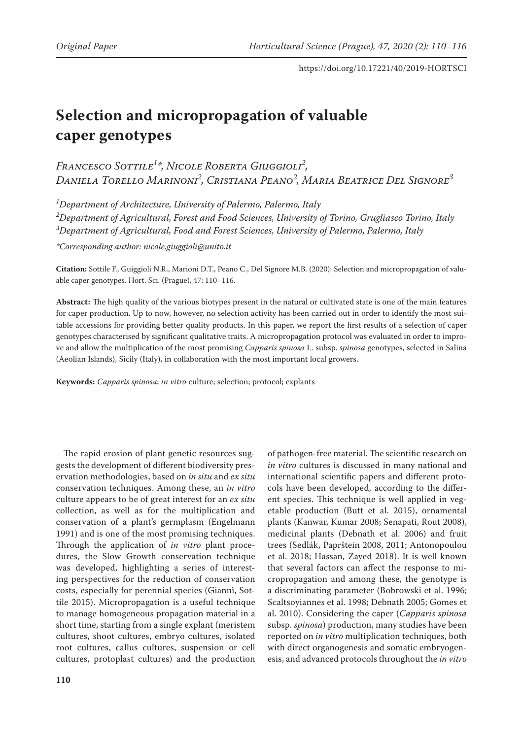# **Selection and micropropagation of valuable caper genotypes**

*Francesco Sottile1 \*, Nicole Roberta Giuggioli2 , Daniela Torello Marinoni2 , Cristiana Peano2 , Maria Beatrice Del Signore3*

*1 Department of Architecture, University of Palermo, Palermo, Italy 2 Department of Agricultural, Forest and Food Sciences, University of Torino, Grugliasco Torino, Italy 3 Department of Agricultural, Food and Forest Sciences, University of Palermo, Palermo, Italy*

*\*Corresponding author: nicole.giuggioli@unito.it*

**Citation:** Sottile F., Guiggioli N.R., Marioni D.T., Peano C., Del Signore M.B. (2020): Selection and micropropagation of valuable caper genotypes. Hort. Sci. (Prague), 47: 110–116.

**Abstract:** The high quality of the various biotypes present in the natural or cultivated state is one of the main features for caper production. Up to now, however, no selection activity has been carried out in order to identify the most suitable accessions for providing better quality products. In this paper, we report the first results of a selection of caper genotypes characterised by significant qualitative traits. A micropropagation protocol was evaluated in order to improve and allow the multiplication of the most promising *Capparis spinosa* L. subsp. *spinosa* genotypes, selected in Salina (Aeolian Islands), Sicily (Italy), in collaboration with the most important local growers.

**Keywords:** *Capparis spinosa*; *in vitro* culture; selection; protocol; explants

The rapid erosion of plant genetic resources suggests the development of different biodiversity preservation methodologies, based on *in situ* and *ex situ* conservation techniques. Among these, an *in vitro* culture appears to be of great interest for an *ex situ* collection, as well as for the multiplication and conservation of a plant's germplasm (Engelmann 1991) and is one of the most promising techniques. Through the application of *in vitro* plant procedures, the Slow Growth conservation technique was developed, highlighting a series of interesting perspectives for the reduction of conservation costs, especially for perennial species (Giannì, Sottile 2015). Micropropagation is a useful technique to manage homogeneous propagation material in a short time, starting from a single explant (meristem cultures, shoot cultures, embryo cultures, isolated root cultures, callus cultures, suspension or cell cultures, protoplast cultures) and the production

of pathogen-free material. The scientific research on *in vitro* cultures is discussed in many national and international scientific papers and different protocols have been developed, according to the different species. This technique is well applied in vegetable production (Butt et al. 2015), ornamental plants (Kanwar, Kumar 2008; Senapati, Rout 2008), medicinal plants (Debnath et al. 2006) and fruit trees (Sedlák, Paprštein 2008, 2011; Antonopoulou et al. 2018; Hassan, Zayed 2018). It is well known that several factors can affect the response to micropropagation and among these, the genotype is a discriminating parameter (Bobrowski et al. 1996; Scaltsoyiannes et al. 1998; Debnath 2005; Gomes et al. 2010). Considering the caper (*Capparis spinosa* subsp. *spinosa*) production, many studies have been reported on *in vitro* multiplication techniques, both with direct organogenesis and somatic embryogenesis, and advanced protocols throughout the *in vitro*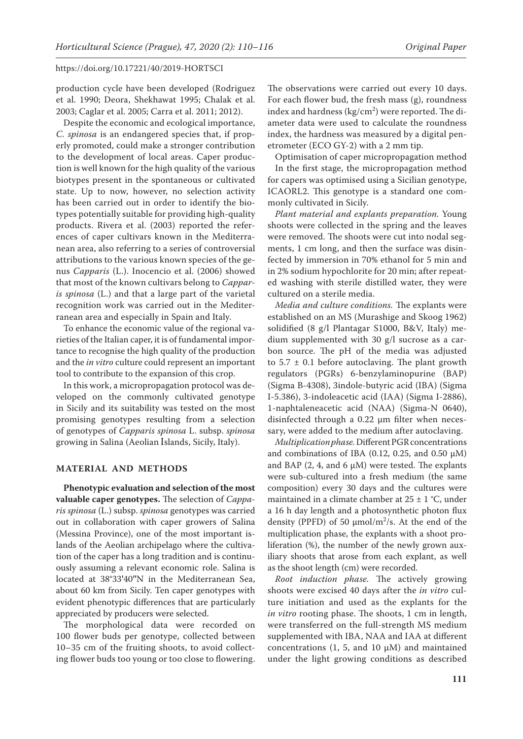production cycle have been developed (Rodriguez et al. 1990; Deora, Shekhawat 1995; Chalak et al. 2003; Caglar et al. 2005; Carra et al. 2011; 2012).

Despite the economic and ecological importance, *C. spinosa* is an endangered species that, if properly promoted, could make a stronger contribution to the development of local areas. Caper production is well known for the high quality of the various biotypes present in the spontaneous or cultivated state. Up to now, however, no selection activity has been carried out in order to identify the biotypes potentially suitable for providing high-quality products. Rivera et al. (2003) reported the references of caper cultivars known in the Mediterranean area, also referring to a series of controversial attributions to the various known species of the genus *Capparis* (L.). Inocencio et al. (2006) showed that most of the known cultivars belong to *Capparis spinosa* (L.) and that a large part of the varietal recognition work was carried out in the Mediterranean area and especially in Spain and Italy.

To enhance the economic value of the regional varieties of the Italian caper, it is of fundamental importance to recognise the high quality of the production and the *in vitro* culture could represent an important tool to contribute to the expansion of this crop.

In this work, a micropropagation protocol was developed on the commonly cultivated genotype in Sicily and its suitability was tested on the most promising genotypes resulting from a selection of genotypes of *Capparis spinosa* L. subsp. *spinosa* growing in Salina (Aeolian Islands, Sicily, Italy).

## **MATERIAL AND METHODS**

**Phenotypic evaluation and selection of the most valuable caper genotypes.** The selection of *Capparis spinosa* (L.) subsp. *spinosa* genotypes was carried out in collaboration with caper growers of Salina (Messina Province), one of the most important islands of the Aeolian archipelago where the cultivation of the caper has a long tradition and is continuously assuming a relevant economic role. Salina is located at 38°33**'**40**''**N in the Mediterranean Sea, about 60 km from Sicily. Ten caper genotypes with evident phenotypic differences that are particularly appreciated by producers were selected.

The morphological data were recorded on 100 flower buds per genotype, collected between 10–35 cm of the fruiting shoots, to avoid collecting flower buds too young or too close to flowering. The observations were carried out every 10 days. For each flower bud, the fresh mass (g), roundness index and hardness  $\frac{\text{kg}}{\text{cm}^2}$  were reported. The diameter data were used to calculate the roundness index, the hardness was measured by a digital penetrometer (ECO GY-2) with a 2 mm tip.

Optimisation of caper micropropagation method In the first stage, the micropropagation method for capers was optimised using a Sicilian genotype, ICAORL2. This genotype is a standard one commonly cultivated in Sicily.

*Plant material and explants preparation.* Young shoots were collected in the spring and the leaves were removed. The shoots were cut into nodal segments, 1 cm long, and then the surface was disinfected by immersion in 70% ethanol for 5 min and in 2% sodium hypochlorite for 20 min; after repeated washing with sterile distilled water, they were cultured on a sterile media.

*Media and culture conditions.* The explants were established on an MS (Murashige and Skoog 1962) solidified (8 g/l Plantagar S1000, B&V, Italy) medium supplemented with 30 g/l sucrose as a carbon source. The pH of the media was adjusted to  $5.7 \pm 0.1$  before autoclaving. The plant growth regulators (PGRs) 6-benzylaminopurine (BAP) (Sigma B-4308), 3indole-butyric acid (IBA) (Sigma I-5.386), 3-indoleacetic acid (IAA) (Sigma I-2886), 1-naphtaleneacetic acid (NAA) (Sigma-N 0640), disinfected through a 0.22 μm filter when necessary, were added to the medium after autoclaving.

*Multiplication phase.* Different PGR concentrations and combinations of IBA (0.12, 0.25, and 0.50  $\mu$ M) and BAP (2, 4, and 6  $\mu$ M) were tested. The explants were sub-cultured into a fresh medium (the same composition) every 30 days and the cultures were maintained in a climate chamber at  $25 \pm 1$  °C, under a 16 h day length and a photosynthetic photon flux density (PPFD) of 50  $\mu$ mol/m<sup>2</sup>/s. At the end of the multiplication phase, the explants with a shoot proliferation (%), the number of the newly grown auxiliary shoots that arose from each explant, as well as the shoot length (cm) were recorded.

*Root induction phase.* The actively growing shoots were excised 40 days after the *in vitro* culture initiation and used as the explants for the *in vitro* rooting phase. The shoots, 1 cm in length, were transferred on the full-strength MS medium supplemented with IBA, NAA and IAA at different concentrations (1, 5, and 10  $\mu$ M) and maintained under the light growing conditions as described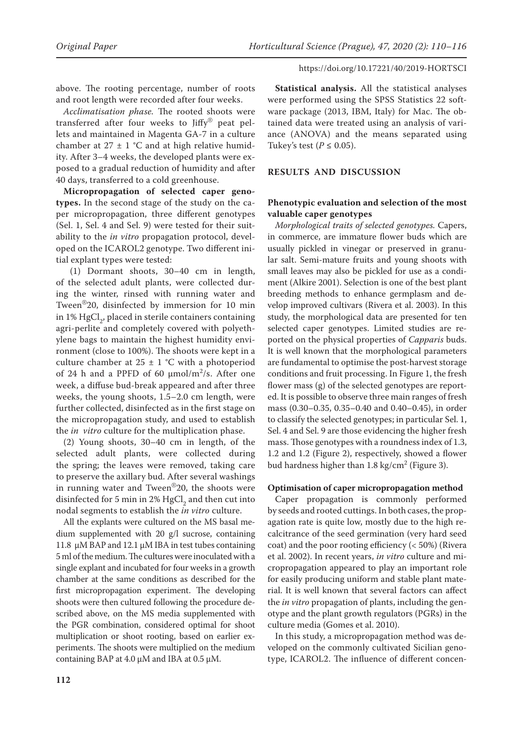above. The rooting percentage, number of roots and root length were recorded after four weeks.

*Acclimatisation phase.* The rooted shoots were transferred after four weeks to Jiffy® peat pellets and maintained in Magenta GA-7 in a culture chamber at  $27 \pm 1$  °C and at high relative humidity. After 3–4 weeks, the developed plants were exposed to a gradual reduction of humidity and after 40 days, transferred to a cold greenhouse.

**Micropropagation of selected caper genotypes.** In the second stage of the study on the caper micropropagation, three different genotypes (Sel. 1, Sel. 4 and Sel. 9) were tested for their suitability to the *in vitro* propagation protocol, developed on the ICAROL2 genotype. Two different initial explant types were tested:

 (1) Dormant shoots, 30–40 cm in length, of the selected adult plants, were collected during the winter, rinsed with running water and Tween®20, disinfected by immersion for 10 min in 1%  $HgCl<sub>2</sub>$ , placed in sterile containers containing agri-perlite and completely covered with polyethylene bags to maintain the highest humidity environment (close to 100%). The shoots were kept in a culture chamber at  $25 \pm 1$  °C with a photoperiod of 24 h and a PPFD of 60  $\mu$ mol/m<sup>2</sup>/s. After one week, a diffuse bud-break appeared and after three weeks, the young shoots, 1.5–2.0 cm length, were further collected, disinfected as in the first stage on the micropropagation study, and used to establish the *in vitro* culture for the multiplication phase.

(2) Young shoots, 30–40 cm in length, of the selected adult plants, were collected during the spring; the leaves were removed, taking care to preserve the axillary bud. After several washings in running water and Tween®20, the shoots were disinfected for 5 min in 2%  $HgCl<sub>2</sub>$  and then cut into nodal segments to establish the *in vitro* culture.

All the explants were cultured on the MS basal medium supplemented with 20 g/l sucrose, containing 11.8 µM BAP and 12.1 µM IBA in test tubes containing 5 ml of the medium. The cultures were inoculated with a single explant and incubated for four weeks in a growth chamber at the same conditions as described for the first micropropagation experiment. The developing shoots were then cultured following the procedure described above, on the MS media supplemented with the PGR combination, considered optimal for shoot multiplication or shoot rooting, based on earlier experiments. The shoots were multiplied on the medium containing BAP at 4.0  $\mu$ M and IBA at 0.5  $\mu$ M.

**Statistical analysis.** All the statistical analyses were performed using the SPSS Statistics 22 software package (2013, IBM, Italy) for Mac. The obtained data were treated using an analysis of variance (ANOVA) and the means separated using Tukey's test  $(P \le 0.05)$ .

## **RESULTS AND DISCUSSION**

# **Phenotypic evaluation and selection of the most valuable caper genotypes**

*Morphological traits of selected genotypes.* Capers, in commerce, are immature flower buds which are usually pickled in vinegar or preserved in granular salt. Semi-mature fruits and young shoots with small leaves may also be pickled for use as a condiment (Alkire 2001). Selection is one of the best plant breeding methods to enhance germplasm and develop improved cultivars (Rivera et al. 2003). In this study, the morphological data are presented for ten selected caper genotypes. Limited studies are reported on the physical properties of *Capparis* buds. It is well known that the morphological parameters are fundamental to optimise the post-harvest storage conditions and fruit processing. In Figure 1, the fresh flower mass (g) of the selected genotypes are reported. It is possible to observe three main ranges of fresh mass (0.30–0.35, 0.35–0.40 and 0.40–0.45), in order to classify the selected genotypes; in particular Sel. 1, Sel. 4 and Sel. 9 are those evidencing the higher fresh mass. Those genotypes with a roundness index of 1.3, 1.2 and 1.2 (Figure 2), respectively, showed a flower bud hardness higher than  $1.8 \text{ kg/cm}^2$  (Figure 3).

#### **Optimisation of caper micropropagation method**

Caper propagation is commonly performed by seeds and rooted cuttings. In both cases, the propagation rate is quite low, mostly due to the high recalcitrance of the seed germination (very hard seed coat) and the poor rooting efficiency (< 50%) (Rivera et al. 2002). In recent years, *in vitro* culture and micropropagation appeared to play an important role for easily producing uniform and stable plant material. It is well known that several factors can affect the *in vitro* propagation of plants, including the genotype and the plant growth regulators (PGRs) in the culture media (Gomes et al. 2010).

In this study, a micropropagation method was developed on the commonly cultivated Sicilian genotype, ICAROL2. The influence of different concen-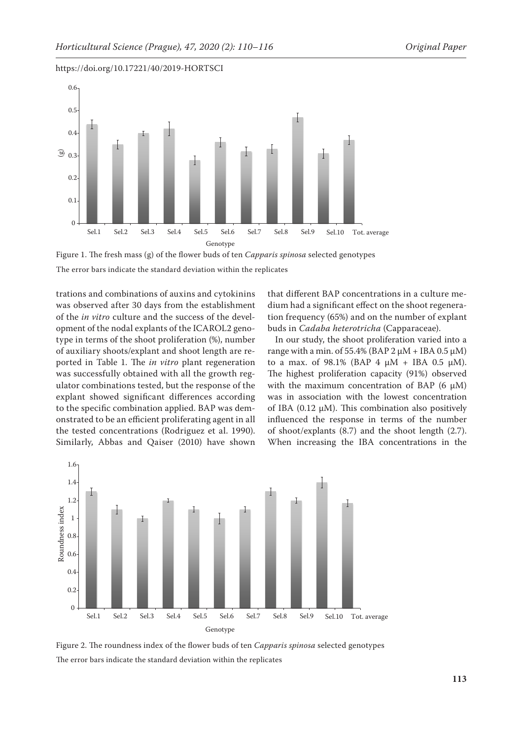



Figure 1. The fresh mass (g) of the flower buds of ten *Capparis spinosa* selected genotypes

The error bars indicate the standard deviation within the replicates

trations and combinations of auxins and cytokinins was observed after 30 days from the establishment of the *in vitro* culture and the success of the development of the nodal explants of the ICAROL2 genotype in terms of the shoot proliferation (%), number of auxiliary shoots/explant and shoot length are reported in Table 1. The *in vitro* plant regeneration was successfully obtained with all the growth regulator combinations tested, but the response of the explant showed significant differences according to the specific combination applied. BAP was demonstrated to be an efficient proliferating agent in all the tested concentrations (Rodriguez et al. 1990). Similarly, Abbas and Qaiser (2010) have shown that different BAP concentrations in a culture medium had a significant effect on the shoot regeneration frequency (65%) and on the number of explant buds in *Cadaba heterotricha* (Capparaceae).

In our study, the shoot proliferation varied into a range with a min. of 55.4% (BAP  $2 \mu M + IBA 0.5 \mu M$ ) to a max. of  $98.1\%$  (BAP 4  $\mu$ M + IBA 0.5  $\mu$ M). The highest proliferation capacity (91%) observed with the maximum concentration of BAP (6  $\mu$ M) was in association with the lowest concentration of IBA (0.12  $\mu$ M). This combination also positively influenced the response in terms of the number of shoot/explants (8.7) and the shoot length (2.7). When increasing the IBA concentrations in the



Figure 2. The roundness index of the flower buds of ten *Capparis spinosa* selected genotypes The error bars indicate the standard deviation within the replicates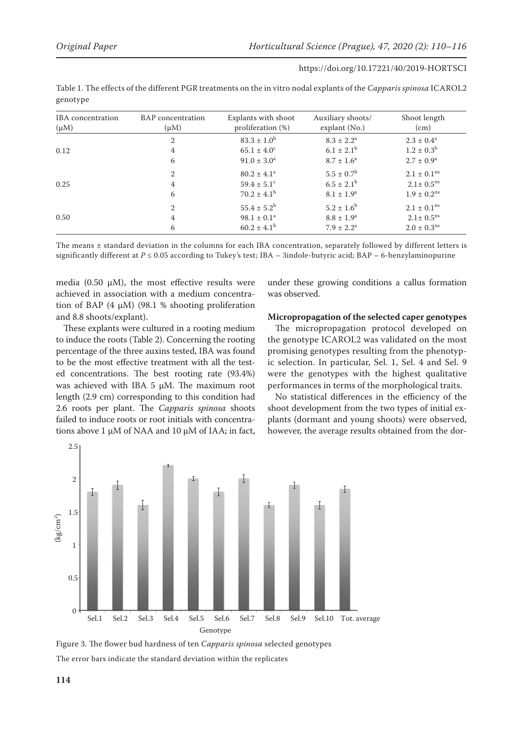| IBA concentration<br>$(\mu M)$ | <b>BAP</b> concentration<br>$(\mu M)$ | Explants with shoot<br>proliferation $(\%)$ | Auxiliary shoots/<br>explant $(No.)$ | Shoot length<br>(cm)        |
|--------------------------------|---------------------------------------|---------------------------------------------|--------------------------------------|-----------------------------|
|                                | $\mathfrak{2}$                        | $83.3 \pm 1.0^b$                            | $8.3 \pm 2.2^a$                      | $2.3 \pm 0.4^a$             |
| 0.12                           | 4                                     | $65.1 \pm 4.0^{\circ}$                      | $6.1 \pm 2.1^b$                      | $1.2 \pm 0.3^b$             |
|                                | 6                                     | $91.0 \pm 3.0^a$                            | $8.7 \pm 1.6^a$                      | $2.7 \pm 0.9^{\rm a}$       |
|                                | $\mathfrak{2}$                        | $80.2 \pm 4.1^a$                            | $5.5 \pm 0.7^{\rm b}$                | $2.1 \pm 0.1^{\text{ns}}$   |
| 0.25                           | 4                                     | $59.4 \pm 5.1^{\circ}$                      | $6.5 \pm 2.1^{\rm b}$                | $2.1 \pm 0.5$ <sup>ns</sup> |
|                                | 6                                     | $70.2 \pm 4.1^{\rm b}$                      | $8.1 \pm 1.9^a$                      | $1.9 \pm 0.2$ <sup>ns</sup> |
|                                | $\mathfrak{2}$                        | $55.4 \pm 5.2^b$                            | $5.2 \pm 1.6^{\rm b}$                | $2.1 \pm 0.1^{\text{ns}}$   |
| 0.50                           | 4                                     | $98.1 \pm 0.1^a$                            | $8.8 \pm 1.9^{\rm a}$                | $2.1 \pm 0.5$ <sup>ns</sup> |
|                                | 6                                     | $60.2 \pm 4.1^{\rm b}$                      | $7.9 \pm 2.2^{\rm a}$                | $2.0 \pm 0.3^{\text{ns}}$   |

Table 1. The effects of the different PGR treatments on the in vitro nodal explants of the *Capparis spinosa* ICAROL2 genotype

The means ± standard deviation in the columns for each IBA concentration, separately followed by different letters is significantly different at *P* ≤ 0.05 according to Tukey's test; IBA – 3indole-butyric acid; BAP – 6-benzylaminopurine

media (0.50  $\mu$ M), the most effective results were achieved in association with a medium concentration of BAP  $(4 \mu M)$  (98.1 % shooting proliferation and 8.8 shoots/explant).

These explants were cultured in a rooting medium to induce the roots (Table 2). Concerning the rooting percentage of the three auxins tested, IBA was found to be the most effective treatment with all the tested concentrations. The best rooting rate (93.4%) was achieved with IBA 5  $\mu$ M. The maximum root length (2.9 cm) corresponding to this condition had 2.6 roots per plant. The *Capparis spinosa* shoots failed to induce roots or root initials with concentrations above  $1 \mu M$  of NAA and  $10 \mu M$  of IAA; in fact,

under these growing conditions a callus formation was observed.

#### **Micropropagation of the selected caper genotypes**

The micropropagation protocol developed on the genotype ICAROL2 was validated on the most promising genotypes resulting from the phenotypic selection. In particular, Sel. 1, Sel. 4 and Sel. 9 were the genotypes with the highest qualitative performances in terms of the morphological traits.

No statistical differences in the efficiency of the shoot development from the two types of initial explants (dormant and young shoots) were observed, however, the average results obtained from the dor-



Figure 3. The flower bud hardness of ten *Capparis spinosa* selected genotypes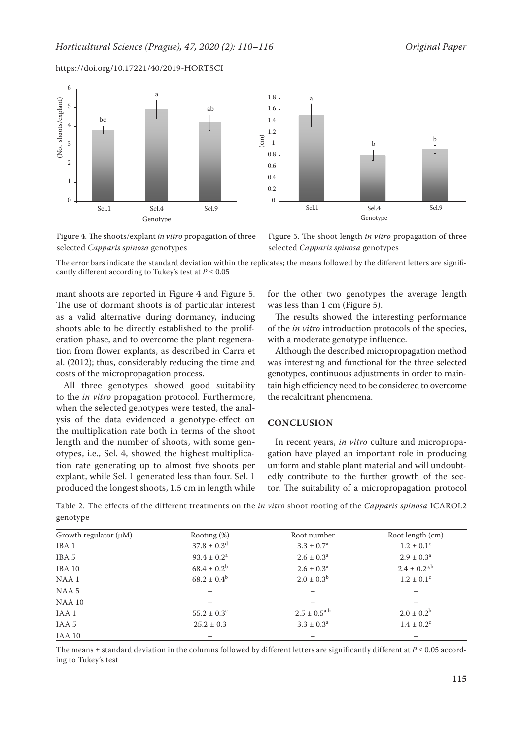



Figure 4. The shoots/explant *in vitro* propagation of three selected *Capparis spinosa* genotypes

Figure 5. The shoot length *in vitro* propagation of three selected *Capparis spinosa* genotypes

The error bars indicate the standard deviation within the replicates; the means followed by the different letters are significantly different according to Tukey's test at  $P \leq 0.05$ 

mant shoots are reported in Figure 4 and Figure 5. The use of dormant shoots is of particular interest as a valid alternative during dormancy, inducing shoots able to be directly established to the proliferation phase, and to overcome the plant regeneration from flower explants, as described in Carra et al. (2012); thus, considerably reducing the time and costs of the micropropagation process.

All three genotypes showed good suitability to the *in vitro* propagation protocol. Furthermore, when the selected genotypes were tested, the analysis of the data evidenced a genotype-effect on the multiplication rate both in terms of the shoot length and the number of shoots, with some genotypes, i.e., Sel. 4, showed the highest multiplication rate generating up to almost five shoots per explant, while Sel. 1 generated less than four. Sel. 1 produced the longest shoots, 1.5 cm in length while

for the other two genotypes the average length was less than 1 cm (Figure 5).

The results showed the interesting performance of the *in vitro* introduction protocols of the species, with a moderate genotype influence.

Although the described micropropagation method was interesting and functional for the three selected genotypes, continuous adjustments in order to maintain high efficiency need to be considered to overcome the recalcitrant phenomena.

## **CONCLUSION**

In recent years, *in vitro* culture and micropropagation have played an important role in producing uniform and stable plant material and will undoubtedly contribute to the further growth of the sector. The suitability of a micropropagation protocol

Table 2. The effects of the different treatments on the *in vitro* shoot rooting of the *Capparis spinosa* ICAROL2 genotype

| Growth regulator $(\mu M)$ | Rooting $(\%)$            | Root number              | Root length (cm)           |
|----------------------------|---------------------------|--------------------------|----------------------------|
| IBA <sub>1</sub>           | $37.8 \pm 0.3^d$          | $3.3 \pm 0.7^{\rm a}$    | $1.2 \pm 0.1$ <sup>c</sup> |
| IBA 5                      | $93.4 \pm 0.2^{\text{a}}$ | $2.6 \pm 0.3^{\text{a}}$ | $2.9 \pm 0.3^{\text{a}}$   |
| IBA 10                     | $68.4 \pm 0.2^b$          | $2.6 \pm 0.3^{\text{a}}$ | $2.4 \pm 0.2^{a,b}$        |
| NAA <sub>1</sub>           | $68.2 \pm 0.4^b$          | $2.0 \pm 0.3^{\rm b}$    | $1.2 \pm 0.1$ <sup>c</sup> |
| NAA 5                      |                           |                          |                            |
| <b>NAA 10</b>              |                           |                          | —                          |
| IAA <sub>1</sub>           | $55.2 \pm 0.3^{\circ}$    | $2.5 \pm 0.5^{a.b}$      | $2.0 \pm 0.2^b$            |
| IAA 5                      | $25.2 \pm 0.3$            | $3.3 \pm 0.3^a$          | $1.4 \pm 0.2$ <sup>c</sup> |
| IAA 10                     |                           |                          | -                          |

The means  $\pm$  standard deviation in the columns followed by different letters are significantly different at  $P \le 0.05$  according to Tukey's test